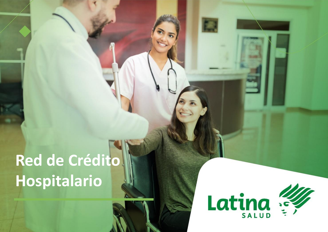## **Red de Crédito Hospitalario**

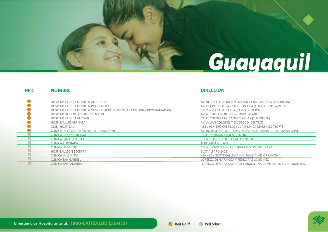# Guayaquil

### **NOMBRE DIRECCIÓN RED**

### $\bullet$ HOSPITAL CLÍNICA KENNEDY ALBORADA AV. RODOLFO BAQUERIZO NASUR Y CROTOS (CDLA. ALBORADA) HOSPITAL CLÍNICA KENNEDY POLICENTRO AV. DEL PERIODISTA Y CALLEJÓN 11-A (CDLA. KENNEDY VIEJA) HOSPITAL CLÍNICA KENNEDY SAMBORONDÓN (SOLO PARA CIRUGÍAS PROGRAMADAS) KM 2 ½ VIA LA PUNTILLA (SAMBORONDÓN) HOSPITAL ROBERTO GILBERT ELIZALDE AV ROBERTO GILBERT Y NICASIO SAFADI HOSPITAL CLÍNICA ALCÍVAR CALLE CORONEL E/. CAÑAR Y AZUAY (SUR-OESTE) HOSPITAL LUIS VERNAZA AV. JULIÁN CORONEL Y ESCOBEDO (CENTRO) OMNI HOSPITAL ABEL ROMERO CASTILLO Y JUAN TANCA MARENGO (NORTE) CLINICA DE LA MUJER (ALFREDO G. PAULSON) AV. ROBERTO GILBERT Y AV. DE LA DEMOCRACIA (CDLA. ATARAZANA) œ CLÍNICA PANAMERICANA CALLE PANAMÁ Y ROCA (CENTRO) CLÍNICA SAN FRANCISCO CDLA. KENNEDY OESTE CALLE 9 Nº 108 CLÍNICA ALBORADA ALBORADA 9 ETAPA  $\circ$ CLÍNICA URDENOR CDLA. IGNACIO ROBLES Y FRANCISCO DE ORELLANA 0 HOSPITAL LEÓN BECERRA ELOY ALFARO 2402 O CLÍNICA MILENIUM KENNEDY NORTE CALLE NAHÍN ISAÍAS Y LUIS ORRANTIA o CLÍNICA SAN GABRIEL LORENZO DE GARAICOA Y PEDRO PABLO GÓMEZ  $\circ$ CLINICA SANTAMARIA LORENZO DE GARAICOA 3209 Y ARGENTINA JUNTO AL EDIFICIO TUMORSA

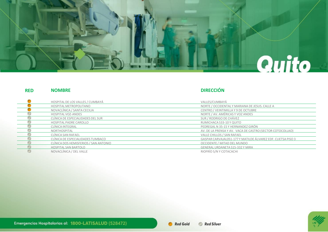

### **NOMBRE DIRECCIÓN RED**

| HOSPITAL DE LOS VALLES / CUMBAYÁ      | VALLES/CUMBAYÁ                                               |
|---------------------------------------|--------------------------------------------------------------|
|                                       |                                                              |
| HOSPITAL METROPOLITANO                | NORTE / OCCIDENTAL Y MARIANA DE JESUS. CALLE A               |
| NOVACLÍNICA / SANTA CECILIA           | CENTRO / VEINTIMILLA Y 9 DE OCTUBRE                          |
| HOSPITAL VOZ-ANDES                    | NORTE / AV. AMÉRICAS Y VOZ ANDES                             |
| CLÍNICA DE ESPECIALIDADES DEL SUR     | SUR / RODRIGO DE CHÁVEZ                                      |
| <b>HOSPITAL PADRE CAROLLO</b>         | RUMICHACA S33-10 Y QUITO                                     |
| CLÍNICA INTEGRAL                      | PEDREGAL N 35-15 Y HERNANDEZ GIRÓN                           |
| NORTHOSPITAL                          | AV. DE LA PRENSA Y AV. VACA DE CASTRO (SECTOR COTOCOLLAO)    |
| CLÍNICA SAN RAFAEL                    | VALLE CHILLOS / SAN RAFAEL                                   |
| CLÍNICA DE ESPECIALIDADES TUMBACO     | GASPAR CARVAJALOS1-177 Y MATILDE ÁLVAREZ EDF. CLIETSA PISO 3 |
| CLÍNICA DOS HEMISFERIOS / SAN ANTONIO | OCCIDENTE / MITAD DEL MUNDO                                  |
| <b>HOSPITAL SAN BARTOLO</b>           | <b>GENERAL URDANETA S15-332 Y MIRA</b>                       |
| NOVACLÍNICA / DEL VALLE               | RIOFRÍO S/N Y COTACACHI                                      |

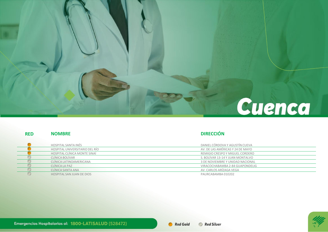### Cuenca

### **RED**

### **NOMBRE DIRECCIÓN**

| HOSPITAL SANTA INÉS              | DANIEL CÓRDOVA Y AGUSTÍN CUEVA   |
|----------------------------------|----------------------------------|
| HOSPITAL UNIVERSITARIO DEL RÍO   | AV. DE LAS AMÉRICAS Y 24 DE MAYO |
| HOSPITAL CLÍNICA MONTE SINAÍ     | REMIGIO CRESPO Y MIGUEL CORDERO  |
| CLÍNICA BOLÍVAR                  | S. BOLÍVAR 13-14 Y JUAN MONTALVO |
| CLÍNICA LATINOAMERICANA          | 3 DE NOVIEMBRE Y UNIDAD NACIONAL |
| CLÍNICA LA PAZ                   | VIRACOCHABAMBA 2-84 GUAPONDELIG  |
| CLÍNICA SANTA ANA                | AV. CARLOS ARÍZAGA VEGA          |
| <b>HOSPITAL SAN JUAN DE DIOS</b> | PAURCABAMBA 010202               |

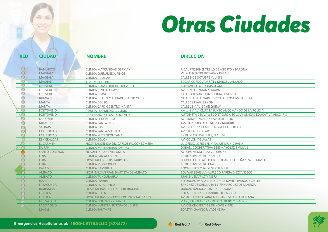# Otras Ciudades

| <b>RED</b> | <b>CIUDAD</b>     | <b>NOMBRE</b>                                         | <b>DIRECCIÓN</b>                                                                  |
|------------|-------------------|-------------------------------------------------------|-----------------------------------------------------------------------------------|
|            | <b>BABAHOYO</b>   |                                                       |                                                                                   |
| $\circ$    | <b>MACHALA</b>    | CLINICA MATERNIDAD GERMAN<br>CLINICA OUIRURGICA PINOS | RICAURTE 209 ENTRE 10 DE AGOSTO Y BARONA<br><b>VELA 119 ENTRE BOYACA Y PASAJE</b> |
| $\circ$    | <b>MACHALA</b>    |                                                       | CALLE 9 DE OCTUBRE Y JUNIN                                                        |
| O          | <b>MACHALA</b>    | CLINICA AGUILAR<br>TRAUMA HOSPITAL                    | EDGAR CORDOVA P S/N Y MARCEL LANIADO                                              |
|            | <b>QUEVEDO</b>    | CLINICA GUAYAQUIL DE QUEVEDO                          | BOLIVAR 1116 DECIMA SEGUNDA                                                       |
| O          | QUEVEDO           | <b>CLINICA REVELO GRAY</b>                            | AV. JUNE GUZMAN Y 14AVA                                                           |
| 0          | QUEVEDO           | CLINICA BRAVO                                         | CALLE BOLIVAR 1116 DECIMA SEGUNDA                                                 |
| $\circ$    | <b>BUENA FE</b>   | CLINICA DE ESPECIALIDADES SALUD CARD                  | CALLE FELIPE ALVAREZ 0 Y CALLE ROSA MOSQUERA                                      |
| $\circ$    | <b>MANTA</b>      | <b>CLINICA DEL SOL</b>                                | CALLE 18 E/AV, 38 Y 39                                                            |
| ∩          | <b>MANTA</b>      | CLINICA CARDIOCENTRO MANTA                            | CALLE 18 Y AV. 37 (ESQUINA)                                                       |
| $\circ$    | <b>PORTOVIEJO</b> | PORTOVIEJO MEDICAL CLINIC                             | KM 1 1/2 VIA A CRUCITA JUNTO AL COMANDO DE LA POLICIA                             |
| c          | <b>PORTOVIEJO</b> | SAN FRANCISCO CARDIOCENTRO                            | AUTOPISTA DEL VALLE CONTIGUO A SOLCA Y UNIDAD EDUCATIVA ARCO IRIS                 |
|            | QUININDE          | <b>CLINICA ECHEVERRIA</b>                             | AV. JIMMY ANCHICO Y AV. 3 DE JULIO                                                |
|            | <b>MILAGRO</b>    | CLINICA SANTA INES                                    | JOSE JOAQUIN DE OLMEDO Y MARURI                                                   |
|            | <b>SALINAS</b>    | CLINICA BASTE                                         | AV. 12 # 1322 Y CALLE 14- VIA LA LIBERTAD                                         |
|            | LA LIBERTAD       | CLINICA SANTA MARTHA                                  | AV. 18, LA LIBERTAD                                                               |
|            | LA LIBERTAD       | CLINICA METROPOLITANA                                 | 28 DE MAYO CALLE 8 S/N AV.14                                                      |
|            | ESMERALDAS        | CLINICA COLÓN                                         | AV. COLON Y GUAYAS                                                                |
|            | EL CARMEN         | HOSPITAL DEL DIA DR. CARLOS FALCONES MERA             | LUIS FELIX LOPEZ S/N Y PASAJE MUNICIPAL A                                         |
|            | <b>DURAN</b>      | <b>CLINICA MATERNIDAD SAGUAY</b>                      | DURAN, COOPERATIVA 2 DE MAYO MZ 2 VILLA 1                                         |
|            | SANTO DOMINGO     | NOVACLINICA SANTA ANITA                               | AV. CHONE KM 2 1/2 VIA CHONE                                                      |
| m          | <b>LOJA</b>       | <b>CLINICA SAN AGUSTIN</b>                            | 18 DE NOVIEMBRE Y AZUAY                                                           |
| O          | <b>LOJA</b>       | HOSPITAL UNIVERSITARIO UTPL                           | LEOPOLDO PALACIOS ENTRE JUAN JOSE PEÑA Y 24 DE MAYO                               |
|            | <b>LOJA</b>       | <b>CLINICA MOGROVEJO</b>                              | 18 DE NOVIEMBRE 13-43                                                             |
|            | CAYAMBE           | <b>CLINICA CAMPBELL</b>                               | ROCAFUERTE Y 26 DE SEPTIEMBRE                                                     |
|            | <b>AMBATO</b>     | HOSPITAL SAN JUAN BAUTISTA DE AMBATO                  | BOLIVAR SEVILLA Y ALFREDO PAREJA DIEZCANSECO                                      |
|            | <b>AMBATO</b>     | <b>CLINICA TUNGURAHUA</b>                             | JUAN B VELA 7-17 Y MERA                                                           |
|            | <b>IBARRA</b>     | <b>CLINICA IBARRA</b>                                 | ELEODORO AYALA 1-10 Y JORGE DÁVILA (PARQUE CHILE)                                 |
|            | LATACUNGA         | CLINICA LATACUNGA                                     | SANCHEZ DE ORELLANA 11-79 MARQUEZ DE MAENZA                                       |
|            | <b>RIOBAMBA</b>   | HOSPITAL BÁSICO CLINICA RIOBAMBA                      | UNIDAD NACIONAL 3612 Y URUGUAY                                                    |
|            | EL COCA           | <b>CLINICA VELOZ</b>                                  | ROCAFUERTE Y ALEJANDRO DE LA VACA                                                 |
| - 100      | EL COCA           | <b>HOSPITAL BÁSICO CENTER DE ESPECIALIDADES</b>       | AV. ALEJANDRO LABAKA Y FRANCISCO DE ORELLANA                                      |
|            | <b>NUEVALOJA</b>  | <b>CLINICA GONZALEZ GRANDA</b>                        | VIA QUITO KM 2 1/2 Y PEDRO FRMIN CEVALLOS                                         |
|            | <b>LAGO AGRIO</b> | CLINICA NUESTRA SEÑORA DEL CISNE                      | AV. DEL CHOFER Y 18 DE NOVIEMBRE                                                  |
|            | <b>MACAS</b>      | <b>CLINICA SANTA FE</b>                               | SOASTIY GAVINO RIVADENEIRA                                                        |

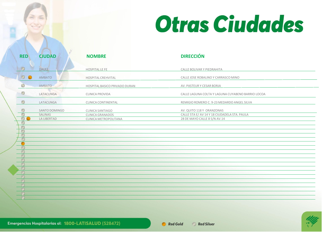

| <b>RED</b>        | <b>CIUDAD</b>                                  | <b>NOMBRE</b>                                                        | <b>DIRECCIÓN</b>                                                                                          |
|-------------------|------------------------------------------------|----------------------------------------------------------------------|-----------------------------------------------------------------------------------------------------------|
| $\circ$           | DAULE                                          | <b>HOSPITAL LE FE</b>                                                | CALLE BOLIVAR Y PIEDRAHITA                                                                                |
| $\circ$ $\bullet$ | <b>AMBATO</b>                                  | <b>HOSPITAL CREHVITAL</b>                                            | CALLE JOSE ROBALINO Y CARRASCO MINO                                                                       |
|                   | AMBATO                                         | HOSPITAL BASICO PRIVADO DURAN                                        | AV. PASTEUR Y CESAR BORJA                                                                                 |
|                   | LATACUNGA                                      | CLINICA PROVIDA                                                      | CALLE LAGUNA COLTA Y LAGUNA CUYABENO BARRIO LOCOA                                                         |
|                   | LATACUNGA                                      | CLINICA CONTINENTAL                                                  | REMIGIO ROMERO C. 9-23 MEDARDO ANGEL SILVA                                                                |
| O<br>$\circ$      | SANTO DOMINGO<br>SALINAS<br><b>LA LIBERTAD</b> | CLINICA SANTIAGO<br><b>CLINICA GRANADOS</b><br>CLINICA METROPOLITANA | AV. QUITO 118 Y ORANZONAS<br>CALLE 5TA E/ AV 14 Y 18 CIUDADELA STA. PAULA<br>28 DE MAYO CALLE 8 S/N AV.14 |
| c<br>O            |                                                |                                                                      |                                                                                                           |
| $\bigcirc$        |                                                |                                                                      |                                                                                                           |
| $\blacksquare$    |                                                |                                                                      |                                                                                                           |
|                   |                                                |                                                                      |                                                                                                           |
| m<br>m            |                                                |                                                                      |                                                                                                           |
| e<br>O            |                                                |                                                                      |                                                                                                           |
| $\circ$           |                                                |                                                                      |                                                                                                           |
| $\bigcap$         |                                                |                                                                      |                                                                                                           |
|                   |                                                |                                                                      |                                                                                                           |
|                   |                                                |                                                                      |                                                                                                           |
|                   |                                                |                                                                      |                                                                                                           |